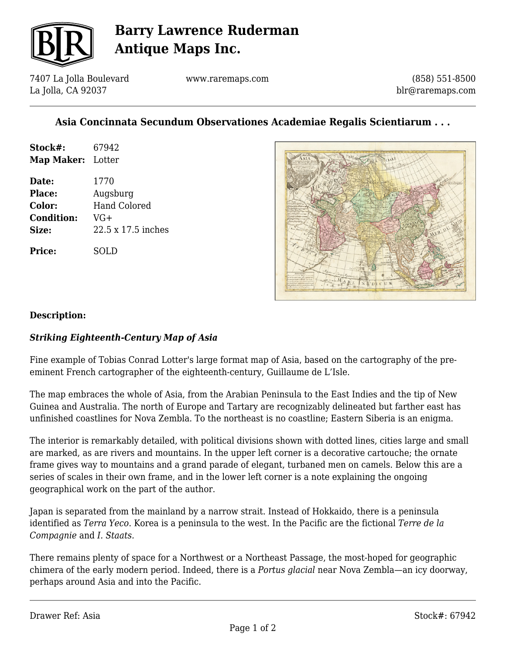

# **Barry Lawrence Ruderman Antique Maps Inc.**

7407 La Jolla Boulevard La Jolla, CA 92037

www.raremaps.com

(858) 551-8500 blr@raremaps.com

### **Asia Concinnata Secundum Observationes Academiae Regalis Scientiarum . . .**

| Stock#:           | 67942 |
|-------------------|-------|
| Map Maker: Lotter |       |
|                   |       |

**Date:** 1770 **Place:** Augsburg **Color:** Hand Colored **Condition:** VG+ **Size:** 22.5 x 17.5 inches

**Price:** SOLD



#### **Description:**

### *Striking Eighteenth-Century Map of Asia*

Fine example of Tobias Conrad Lotter's large format map of Asia, based on the cartography of the preeminent French cartographer of the eighteenth-century, Guillaume de L'Isle.

The map embraces the whole of Asia, from the Arabian Peninsula to the East Indies and the tip of New Guinea and Australia. The north of Europe and Tartary are recognizably delineated but farther east has unfinished coastlines for Nova Zembla. To the northeast is no coastline; Eastern Siberia is an enigma.

The interior is remarkably detailed, with political divisions shown with dotted lines, cities large and small are marked, as are rivers and mountains. In the upper left corner is a decorative cartouche; the ornate frame gives way to mountains and a grand parade of elegant, turbaned men on camels. Below this are a series of scales in their own frame, and in the lower left corner is a note explaining the ongoing geographical work on the part of the author.

Japan is separated from the mainland by a narrow strait. Instead of Hokkaido, there is a peninsula identified as *Terra Yeco*. Korea is a peninsula to the west. In the Pacific are the fictional *Terre de la Compagnie* and *I. Staats.*

There remains plenty of space for a Northwest or a Northeast Passage, the most-hoped for geographic chimera of the early modern period. Indeed, there is a *Portus glacial* near Nova Zembla—an icy doorway, perhaps around Asia and into the Pacific.